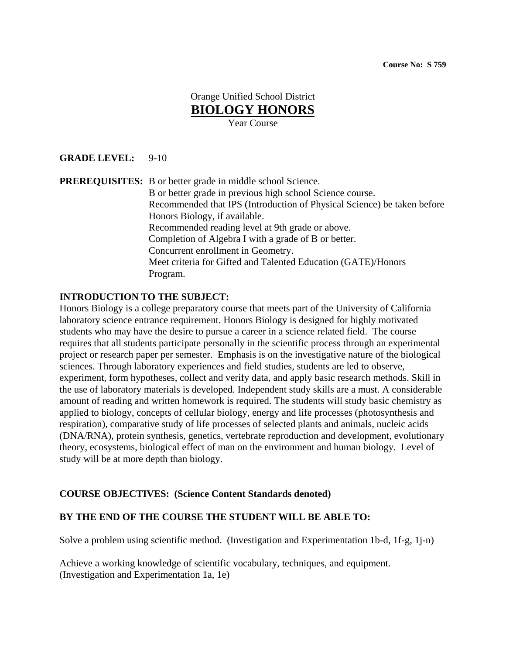# Orange Unified School District **BIOLOGY HONORS**

Year Course

#### **GRADE LEVEL:** 9-10

**PREREQUISITES:** B or better grade in middle school Science. B or better grade in previous high school Science course. Recommended that IPS (Introduction of Physical Science) be taken before Honors Biology, if available. Recommended reading level at 9th grade or above. Completion of Algebra I with a grade of B or better. Concurrent enrollment in Geometry. Meet criteria for Gifted and Talented Education (GATE)/Honors Program.

#### **INTRODUCTION TO THE SUBJECT:**

Honors Biology is a college preparatory course that meets part of the University of California laboratory science entrance requirement. Honors Biology is designed for highly motivated students who may have the desire to pursue a career in a science related field. The course requires that all students participate personally in the scientific process through an experimental project or research paper per semester. Emphasis is on the investigative nature of the biological sciences. Through laboratory experiences and field studies, students are led to observe, experiment, form hypotheses, collect and verify data, and apply basic research methods. Skill in the use of laboratory materials is developed. Independent study skills are a must. A considerable amount of reading and written homework is required. The students will study basic chemistry as applied to biology, concepts of cellular biology, energy and life processes (photosynthesis and respiration), comparative study of life processes of selected plants and animals, nucleic acids (DNA/RNA), protein synthesis, genetics, vertebrate reproduction and development, evolutionary theory, ecosystems, biological effect of man on the environment and human biology. Level of study will be at more depth than biology.

#### **COURSE OBJECTIVES: (Science Content Standards denoted)**

#### **BY THE END OF THE COURSE THE STUDENT WILL BE ABLE TO:**

Solve a problem using scientific method. (Investigation and Experimentation 1b-d, 1f-g, 1j-n)

Achieve a working knowledge of scientific vocabulary, techniques, and equipment. (Investigation and Experimentation 1a, 1e)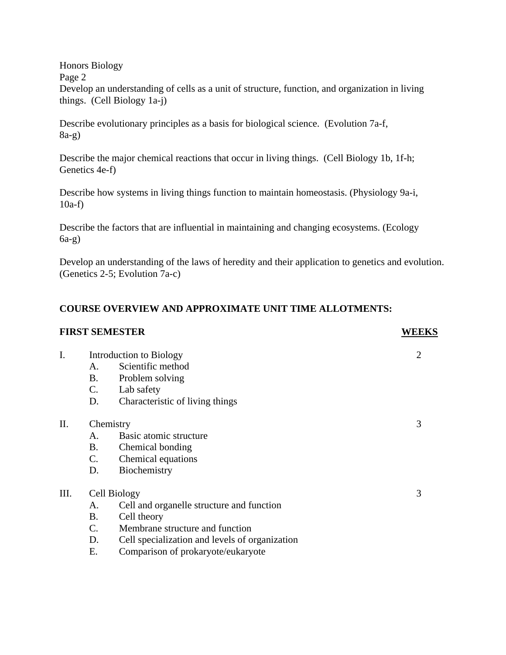Honors Biology Page 2 Develop an understanding of cells as a unit of structure, function, and organization in living things. (Cell Biology 1a-j)

Describe evolutionary principles as a basis for biological science. (Evolution 7a-f, 8a-g)

Describe the major chemical reactions that occur in living things. (Cell Biology 1b, 1f-h; Genetics 4e-f)

Describe how systems in living things function to maintain homeostasis. (Physiology 9a-i, 10a-f)

Describe the factors that are influential in maintaining and changing ecosystems. (Ecology 6a-g)

Develop an understanding of the laws of heredity and their application to genetics and evolution. (Genetics 2-5; Evolution 7a-c)

# **COURSE OVERVIEW AND APPROXIMATE UNIT TIME ALLOTMENTS:**

| <b>FIRST SEMESTER</b> |                         |                                                | <b>WEEKS</b> |
|-----------------------|-------------------------|------------------------------------------------|--------------|
| I.                    | Introduction to Biology |                                                | 2            |
|                       | A.                      | Scientific method                              |              |
|                       | <b>B.</b>               | Problem solving                                |              |
|                       | C.                      | Lab safety                                     |              |
|                       | D.                      | Characteristic of living things                |              |
| Π.                    | Chemistry               |                                                | 3            |
|                       | A.                      | Basic atomic structure                         |              |
|                       | <b>B.</b>               | Chemical bonding                               |              |
|                       | C.                      | Chemical equations                             |              |
|                       | D.                      | Biochemistry                                   |              |
| Ш.                    | Cell Biology            |                                                | 3            |
|                       | А.                      | Cell and organelle structure and function      |              |
|                       | Β.                      | Cell theory                                    |              |
|                       | $\mathbf{C}$ .          | Membrane structure and function                |              |
|                       | D.                      | Cell specialization and levels of organization |              |
|                       | Е.                      | Comparison of prokaryote/eukaryote             |              |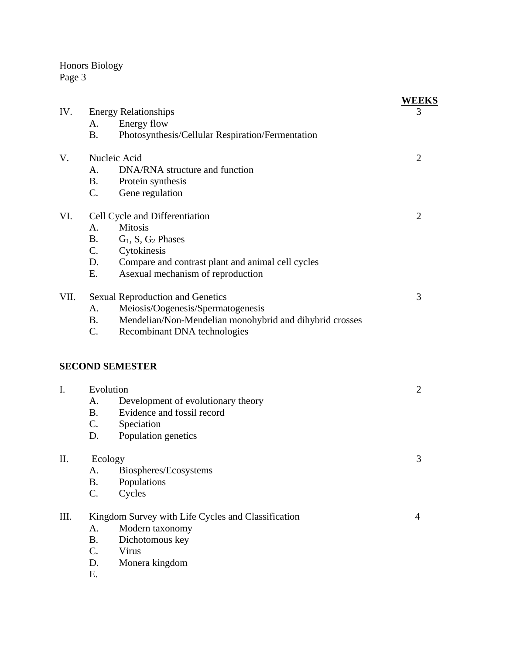Honors Biology Page 3

|      |                                                                      | <b>WEEKS</b>   |
|------|----------------------------------------------------------------------|----------------|
| IV.  | <b>Energy Relationships</b>                                          | 3              |
|      | Energy flow<br>A.                                                    |                |
|      | Photosynthesis/Cellular Respiration/Fermentation<br><b>B.</b>        |                |
| V.   | Nucleic Acid                                                         | $\overline{2}$ |
|      | DNA/RNA structure and function<br>A.                                 |                |
|      | <b>B.</b><br>Protein synthesis                                       |                |
|      | C.<br>Gene regulation                                                |                |
| VI.  | Cell Cycle and Differentiation                                       | $\overline{2}$ |
|      | Mitosis<br>A.                                                        |                |
|      | $G_1$ , S, $G_2$ Phases<br><b>B.</b>                                 |                |
|      | C.<br>Cytokinesis                                                    |                |
|      | D.<br>Compare and contrast plant and animal cell cycles              |                |
|      | Asexual mechanism of reproduction<br>Ε.                              |                |
| VII. | <b>Sexual Reproduction and Genetics</b>                              | 3              |
|      | Meiosis/Oogenesis/Spermatogenesis<br>A.                              |                |
|      | Mendelian/Non-Mendelian monohybrid and dihybrid crosses<br><b>B.</b> |                |
|      | C.<br>Recombinant DNA technologies                                   |                |
|      | <b>SECOND SEMESTER</b>                                               |                |
| I.   | Evolution                                                            | $\overline{2}$ |
|      | Development of evolutionary theory<br>A.                             |                |
|      | <b>B.</b><br>Evidence and fossil record                              |                |
|      | C.<br>Speciation                                                     |                |
|      | Population genetics<br>D.                                            |                |
| Η.   | Ecology                                                              | 3              |
|      | A.<br>Biospheres/Ecosystems                                          |                |
|      | <b>B.</b><br>Populations                                             |                |
|      | Cycles<br>C.                                                         |                |
| III. | Kingdom Survey with Life Cycles and Classification                   | 4              |
|      | Modern taxonomy<br>A.                                                |                |
|      | Dichotomous key<br><b>B.</b>                                         |                |
|      | C.<br>Virus                                                          |                |
|      | Monera kingdom<br>D.                                                 |                |

E.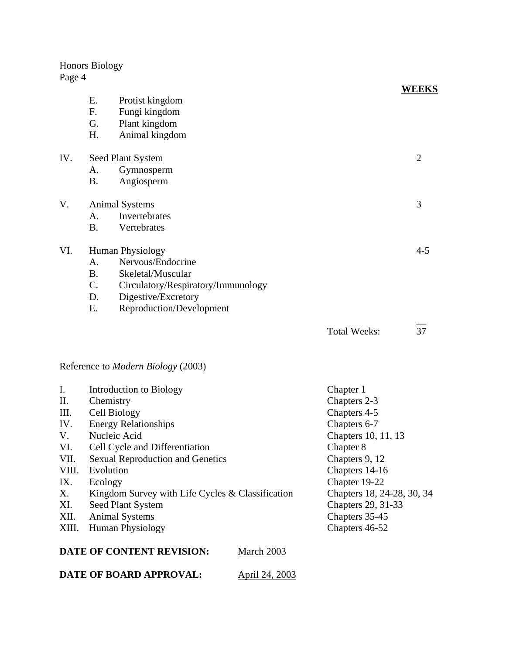|           |                             |                                                                                                               |                     | <b>WEEKS</b>   |
|-----------|-----------------------------|---------------------------------------------------------------------------------------------------------------|---------------------|----------------|
|           | Ε.                          | Protist kingdom                                                                                               |                     |                |
|           | F.                          | Fungi kingdom                                                                                                 |                     |                |
|           | G.                          | Plant kingdom                                                                                                 |                     |                |
|           | H.                          | Animal kingdom                                                                                                |                     |                |
| IV.       | Seed Plant System           |                                                                                                               |                     | $\overline{2}$ |
|           | A.                          | Gymnosperm                                                                                                    |                     |                |
|           | <b>B.</b>                   | Angiosperm                                                                                                    |                     |                |
| V.        | <b>Animal Systems</b>       |                                                                                                               |                     | 3              |
|           | A.                          | Invertebrates                                                                                                 |                     |                |
|           | <b>B.</b>                   | Vertebrates                                                                                                   |                     |                |
| VI.       | <b>Human Physiology</b>     |                                                                                                               |                     | $4 - 5$        |
|           | A.                          | Nervous/Endocrine                                                                                             |                     |                |
|           | <b>B.</b>                   | Skeletal/Muscular                                                                                             |                     |                |
|           | C.                          | Circulatory/Respiratory/Immunology                                                                            |                     |                |
|           | D.                          | Digestive/Excretory                                                                                           |                     |                |
|           | Ε.                          | Reproduction/Development                                                                                      |                     |                |
|           |                             |                                                                                                               | <b>Total Weeks:</b> | 37             |
|           |                             | Reference to <i>Modern Biology</i> (2003)                                                                     |                     |                |
| I.        |                             | Introduction to Biology                                                                                       | Chapter 1           |                |
| П.        | Chemistry                   |                                                                                                               | Chapters 2-3        |                |
| III.      | <b>Cell Biology</b>         |                                                                                                               | Chapters 4-5        |                |
| IV.       | <b>Energy Relationships</b> |                                                                                                               | Chapters 6-7        |                |
| V.        |                             | Nucleic Acid                                                                                                  | Chapters 10, 11, 13 |                |
| <b>TT</b> |                             | $C_{\alpha}11C_{\alpha\alpha}1_{\alpha\alpha\alpha}1D_{\alpha}^{*}f_{\alpha\alpha\alpha}1_{\alpha}1_{\alpha}$ | $Ch$ and $\Omega$   |                |

- VI. Cell Cycle and Differentiation Chapter 8<br>
VII. Sexual Reproduction and Genetics Chapters 9
- Sexual Reproduction and Genetics Chapters 9, 12<br>Evolution Chapters 14-16
- VIII. Evolution
- 
- IX. Ecology Chapter 19-22<br>
X. Kingdom Survey with Life Cycles & Classification Chapters 18, 24-28, 30, 34 X. Kingdom Survey with Life Cycles & Classification XI. Seed Plant System
- XI. Seed Plant System Chapters 29, 31-33
- XII. Animal Systems Chapters 35-45
- XIII. Human Physiology Chapters 46-52

| DATE OF CONTENT REVISION: | March 2003     |
|---------------------------|----------------|
| DATE OF BOARD APPROVAL:   | April 24, 2003 |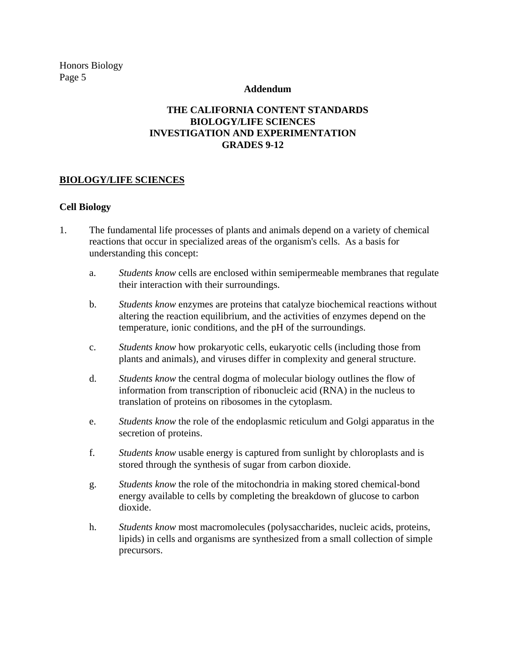Honors Biology Page 5

#### **Addendum**

# **THE CALIFORNIA CONTENT STANDARDS BIOLOGY/LIFE SCIENCES INVESTIGATION AND EXPERIMENTATION GRADES 9-12**

#### **BIOLOGY/LIFE SCIENCES**

#### **Cell Biology**

- 1. The fundamental life processes of plants and animals depend on a variety of chemical reactions that occur in specialized areas of the organism's cells. As a basis for understanding this concept:
	- a. *Students know* cells are enclosed within semipermeable membranes that regulate their interaction with their surroundings.
	- b. *Students know* enzymes are proteins that catalyze biochemical reactions without altering the reaction equilibrium, and the activities of enzymes depend on the temperature, ionic conditions, and the pH of the surroundings.
	- c. *Students know* how prokaryotic cells, eukaryotic cells (including those from plants and animals), and viruses differ in complexity and general structure.
	- d. *Students know* the central dogma of molecular biology outlines the flow of information from transcription of ribonucleic acid (RNA) in the nucleus to translation of proteins on ribosomes in the cytoplasm.
	- e. *Students know* the role of the endoplasmic reticulum and Golgi apparatus in the secretion of proteins.
	- f. *Students know* usable energy is captured from sunlight by chloroplasts and is stored through the synthesis of sugar from carbon dioxide.
	- g. *Students know* the role of the mitochondria in making stored chemical-bond energy available to cells by completing the breakdown of glucose to carbon dioxide.
	- h. *Students know* most macromolecules (polysaccharides, nucleic acids, proteins, lipids) in cells and organisms are synthesized from a small collection of simple precursors.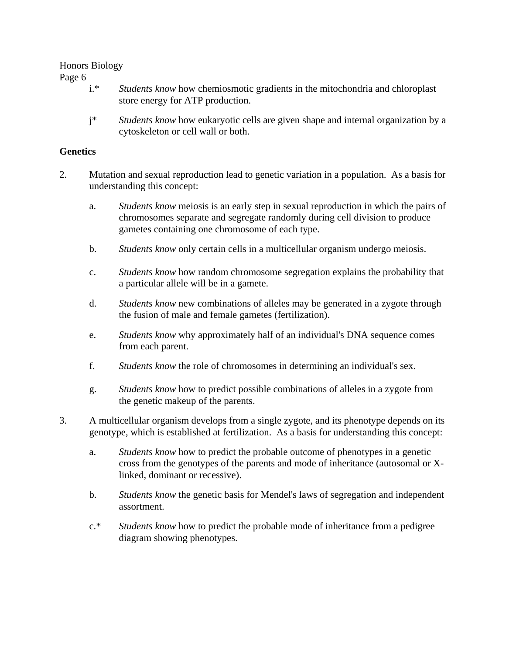Page 6

- i.\* *Students know* how chemiosmotic gradients in the mitochondria and chloroplast store energy for ATP production.
- j\* *Students know* how eukaryotic cells are given shape and internal organization by a cytoskeleton or cell wall or both.

## **Genetics**

- 2. Mutation and sexual reproduction lead to genetic variation in a population. As a basis for understanding this concept:
	- a. *Students know* meiosis is an early step in sexual reproduction in which the pairs of chromosomes separate and segregate randomly during cell division to produce gametes containing one chromosome of each type.
	- b. *Students know* only certain cells in a multicellular organism undergo meiosis.
	- c. *Students know* how random chromosome segregation explains the probability that a particular allele will be in a gamete.
	- d. *Students know* new combinations of alleles may be generated in a zygote through the fusion of male and female gametes (fertilization).
	- e. *Students know* why approximately half of an individual's DNA sequence comes from each parent.
	- f. *Students know* the role of chromosomes in determining an individual's sex.
	- g. *Students know* how to predict possible combinations of alleles in a zygote from the genetic makeup of the parents.
- 3. A multicellular organism develops from a single zygote, and its phenotype depends on its genotype, which is established at fertilization. As a basis for understanding this concept:
	- a. *Students know* how to predict the probable outcome of phenotypes in a genetic cross from the genotypes of the parents and mode of inheritance (autosomal or Xlinked, dominant or recessive).
	- b. *Students know* the genetic basis for Mendel's laws of segregation and independent assortment.
	- c.\* *Students know* how to predict the probable mode of inheritance from a pedigree diagram showing phenotypes.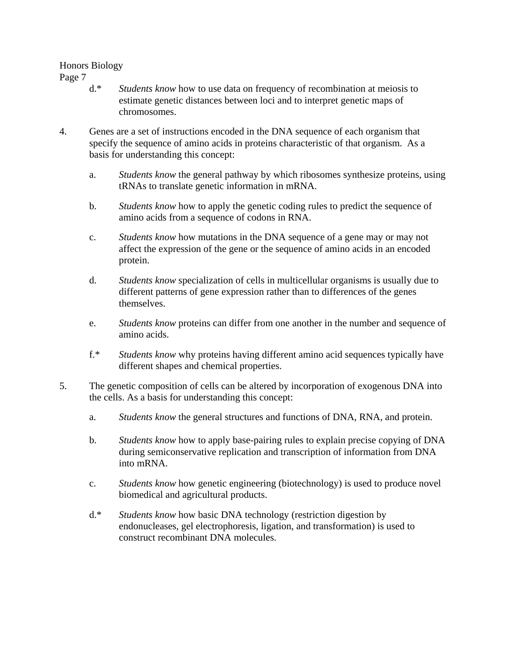- d.\* *Students know* how to use data on frequency of recombination at meiosis to estimate genetic distances between loci and to interpret genetic maps of chromosomes.
- 4. Genes are a set of instructions encoded in the DNA sequence of each organism that specify the sequence of amino acids in proteins characteristic of that organism. As a basis for understanding this concept:
	- a. *Students know* the general pathway by which ribosomes synthesize proteins, using tRNAs to translate genetic information in mRNA.
	- b. *Students know* how to apply the genetic coding rules to predict the sequence of amino acids from a sequence of codons in RNA.
	- c. *Students know* how mutations in the DNA sequence of a gene may or may not affect the expression of the gene or the sequence of amino acids in an encoded protein.
	- d. *Students know* specialization of cells in multicellular organisms is usually due to different patterns of gene expression rather than to differences of the genes themselves.
	- e. *Students know* proteins can differ from one another in the number and sequence of amino acids.
	- f.\* *Students know* why proteins having different amino acid sequences typically have different shapes and chemical properties.
- 5. The genetic composition of cells can be altered by incorporation of exogenous DNA into the cells. As a basis for understanding this concept:
	- a. *Students know* the general structures and functions of DNA, RNA, and protein.
	- b. *Students know* how to apply base-pairing rules to explain precise copying of DNA during semiconservative replication and transcription of information from DNA into mRNA.
	- c. *Students know* how genetic engineering (biotechnology) is used to produce novel biomedical and agricultural products.
	- d.\* *Students know* how basic DNA technology (restriction digestion by endonucleases, gel electrophoresis, ligation, and transformation) is used to construct recombinant DNA molecules.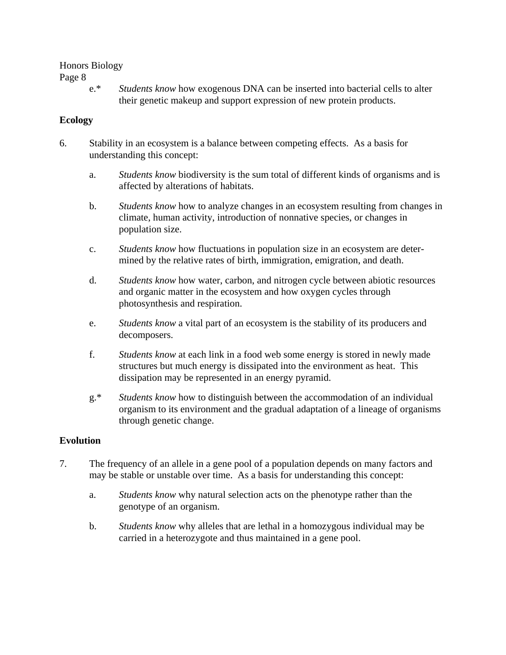- Page 8
	- e.\* *Students know* how exogenous DNA can be inserted into bacterial cells to alter their genetic makeup and support expression of new protein products.

## **Ecology**

- 6. Stability in an ecosystem is a balance between competing effects. As a basis for understanding this concept:
	- a. *Students know* biodiversity is the sum total of different kinds of organisms and is affected by alterations of habitats.
	- b. *Students know* how to analyze changes in an ecosystem resulting from changes in climate, human activity, introduction of nonnative species, or changes in population size.
	- c. *Students know* how fluctuations in population size in an ecosystem are determined by the relative rates of birth, immigration, emigration, and death.
	- d. *Students know* how water, carbon, and nitrogen cycle between abiotic resources and organic matter in the ecosystem and how oxygen cycles through photosynthesis and respiration.
	- e. *Students know* a vital part of an ecosystem is the stability of its producers and decomposers.
	- f. *Students know* at each link in a food web some energy is stored in newly made structures but much energy is dissipated into the environment as heat. This dissipation may be represented in an energy pyramid.
	- g.\* *Students know* how to distinguish between the accommodation of an individual organism to its environment and the gradual adaptation of a lineage of organisms through genetic change.

#### **Evolution**

- 7. The frequency of an allele in a gene pool of a population depends on many factors and may be stable or unstable over time. As a basis for understanding this concept:
	- a. *Students know* why natural selection acts on the phenotype rather than the genotype of an organism.
	- b. *Students know* why alleles that are lethal in a homozygous individual may be carried in a heterozygote and thus maintained in a gene pool.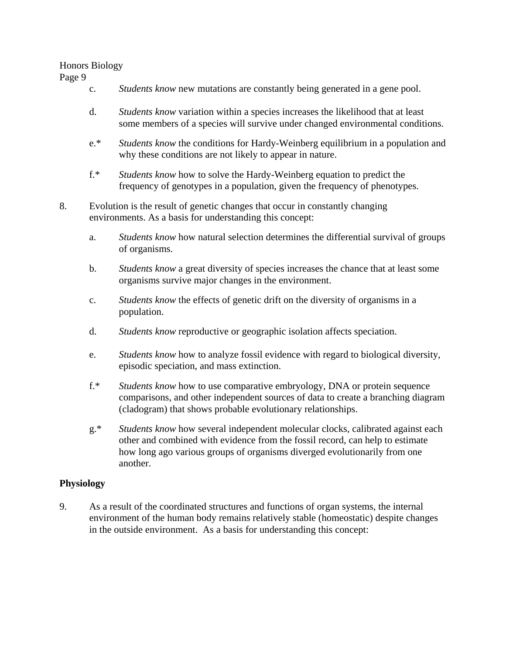Page 9

- c. *Students know* new mutations are constantly being generated in a gene pool.
- d. *Students know* variation within a species increases the likelihood that at least some members of a species will survive under changed environmental conditions.
- e.\* *Students know* the conditions for Hardy-Weinberg equilibrium in a population and why these conditions are not likely to appear in nature.
- f.\* *Students know* how to solve the Hardy-Weinberg equation to predict the frequency of genotypes in a population, given the frequency of phenotypes.
- 8. Evolution is the result of genetic changes that occur in constantly changing environments. As a basis for understanding this concept:
	- a. *Students know* how natural selection determines the differential survival of groups of organisms.
	- b. *Students know* a great diversity of species increases the chance that at least some organisms survive major changes in the environment.
	- c. *Students know* the effects of genetic drift on the diversity of organisms in a population.
	- d. *Students know* reproductive or geographic isolation affects speciation.
	- e. *Students know* how to analyze fossil evidence with regard to biological diversity, episodic speciation, and mass extinction.
	- f.\* *Students know* how to use comparative embryology, DNA or protein sequence comparisons, and other independent sources of data to create a branching diagram (cladogram) that shows probable evolutionary relationships.
	- g.\* *Students know* how several independent molecular clocks, calibrated against each other and combined with evidence from the fossil record, can help to estimate how long ago various groups of organisms diverged evolutionarily from one another.

#### **Physiology**

9. As a result of the coordinated structures and functions of organ systems, the internal environment of the human body remains relatively stable (homeostatic) despite changes in the outside environment. As a basis for understanding this concept: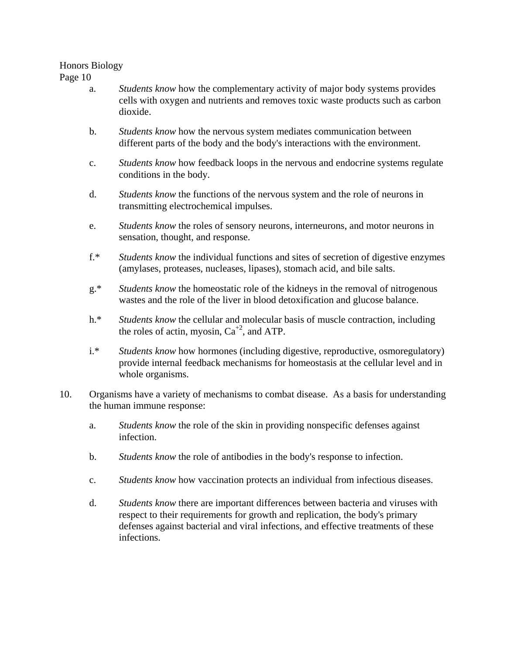- a. *Students know* how the complementary activity of major body systems provides cells with oxygen and nutrients and removes toxic waste products such as carbon dioxide.
- b. *Students know* how the nervous system mediates communication between different parts of the body and the body's interactions with the environment.
- c. *Students know* how feedback loops in the nervous and endocrine systems regulate conditions in the body.
- d. *Students know* the functions of the nervous system and the role of neurons in transmitting electrochemical impulses.
- e. *Students know* the roles of sensory neurons, interneurons, and motor neurons in sensation, thought, and response.
- f.\* *Students know* the individual functions and sites of secretion of digestive enzymes (amylases, proteases, nucleases, lipases), stomach acid, and bile salts.
- g.\* *Students know* the homeostatic role of the kidneys in the removal of nitrogenous wastes and the role of the liver in blood detoxification and glucose balance.
- h.\* *Students know* the cellular and molecular basis of muscle contraction, including the roles of actin, myosin,  $Ca^{+2}$ , and ATP.
- i.\* *Students know* how hormones (including digestive, reproductive, osmoregulatory) provide internal feedback mechanisms for homeostasis at the cellular level and in whole organisms.
- 10. Organisms have a variety of mechanisms to combat disease. As a basis for understanding the human immune response:
	- a. *Students know* the role of the skin in providing nonspecific defenses against infection.
	- b. *Students know* the role of antibodies in the body's response to infection.
	- c. *Students know* how vaccination protects an individual from infectious diseases.
	- d. *Students know* there are important differences between bacteria and viruses with respect to their requirements for growth and replication, the body's primary defenses against bacterial and viral infections, and effective treatments of these infections.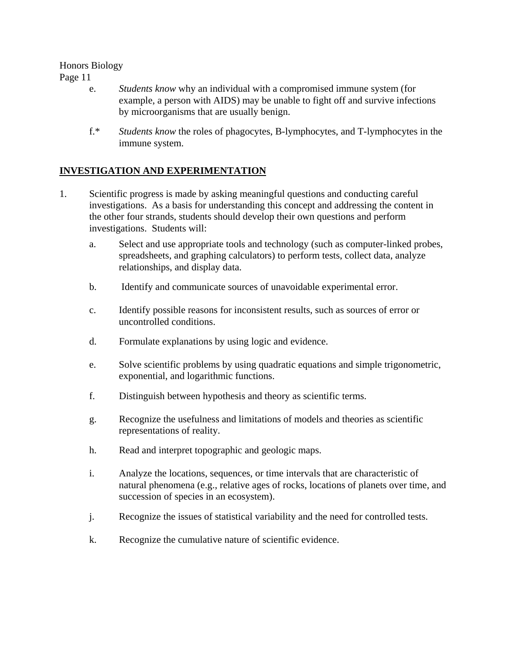Page 11

- e. *Students know* why an individual with a compromised immune system (for example, a person with AIDS) may be unable to fight off and survive infections by microorganisms that are usually benign.
- f.\* *Students know* the roles of phagocytes, B-lymphocytes, and T-lymphocytes in the immune system.

# **INVESTIGATION AND EXPERIMENTATION**

- 1. Scientific progress is made by asking meaningful questions and conducting careful investigations. As a basis for understanding this concept and addressing the content in the other four strands, students should develop their own questions and perform investigations. Students will:
	- a. Select and use appropriate tools and technology (such as computer-linked probes, spreadsheets, and graphing calculators) to perform tests, collect data, analyze relationships, and display data.
	- b. Identify and communicate sources of unavoidable experimental error.
	- c. Identify possible reasons for inconsistent results, such as sources of error or uncontrolled conditions.
	- d. Formulate explanations by using logic and evidence.
	- e. Solve scientific problems by using quadratic equations and simple trigonometric, exponential, and logarithmic functions.
	- f. Distinguish between hypothesis and theory as scientific terms.
	- g. Recognize the usefulness and limitations of models and theories as scientific representations of reality.
	- h. Read and interpret topographic and geologic maps.
	- i. Analyze the locations, sequences, or time intervals that are characteristic of natural phenomena (e.g., relative ages of rocks, locations of planets over time, and succession of species in an ecosystem).
	- j. Recognize the issues of statistical variability and the need for controlled tests.
	- k. Recognize the cumulative nature of scientific evidence.